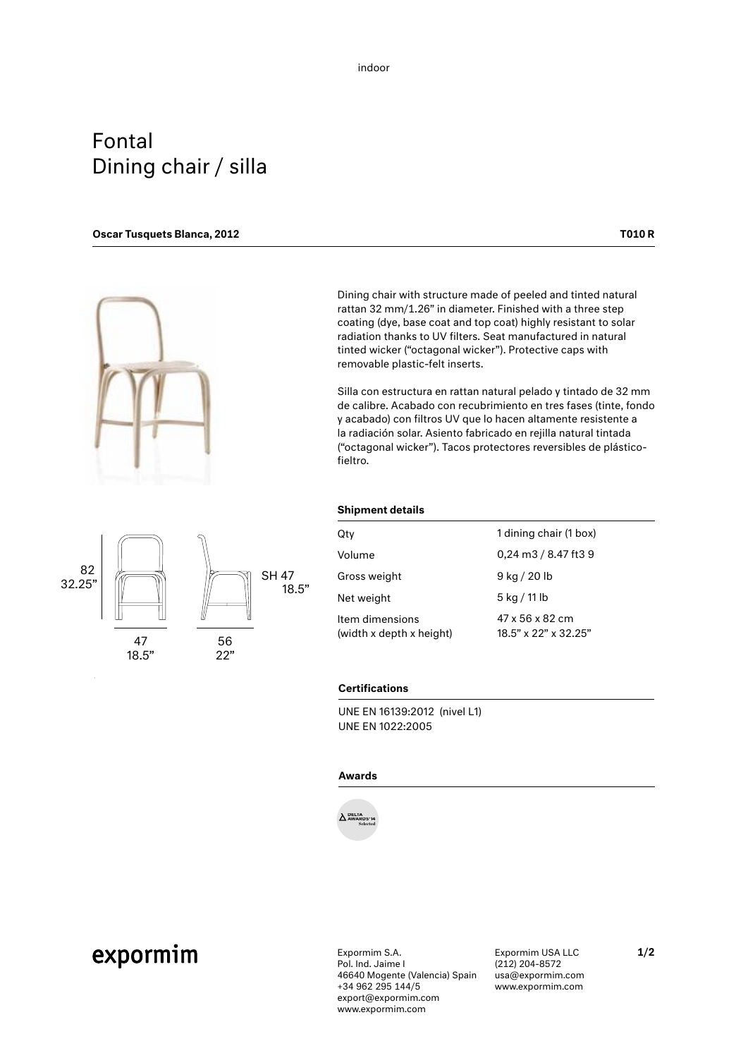### Fontal Dining chair / silla

#### Oscar Tusquets Blanca, 2012 **Table 19th Control** Control of the Control Oscar Tusquets Blanca, 2012



 $32.25"$   $\sqrt{\frac{82}{13}}$   $\sqrt{\frac{8447}{18}}$ 

56 22"

47

18.5"

82

Dining chair with structure made of peeled and tinted natural rattan 32 mm/1.26" in diameter. Finished with a three step coating (dye, base coat and top coat) highly resistant to solar radiation thanks to UV filters. Seat manufactured in natural tinted wicker ("octagonal wicker"). Protective caps with removable plastic-felt inserts.

Silla con estructura en rattan natural pelado y tintado de 32 mm de calibre. Acabado con recubrimiento en tres fases (tinte, fondo y acabado) con filtros UV que lo hacen altamente resistente a la radiación solar. Asiento fabricado en rejilla natural tintada ("octagonal wicker"). Tacos protectores reversibles de plásticofieltro.



| Qtv                                         | 1 dining chair (1 box)                           |
|---------------------------------------------|--------------------------------------------------|
| Volume                                      | 0,24 m3 / 8.47 ft3 9                             |
| Gross weight                                | 9 kg / 20 lb                                     |
| Net weight                                  | 5 kg / 11 lb                                     |
| Item dimensions<br>(width x depth x height) | 47 x 56 x 82 cm<br>$18.5$ " x $22$ " x $32.25$ " |

#### **Certifications**

18.5"

UNE EN 16139:2012 (nivel L1) UNE EN 1022:2005

### Awards

Selected **DELTA AWARDS'14**

## expormim

Expormim S.A. Pol. Ind. Jaime I 46640 Mogente (Valencia) Spain +34 962 295 144/5 export@expormim.com www.expormim.com

Expormim USA LLC (212) 204-8572 usa@expormim.com www.expormim.com

1/2